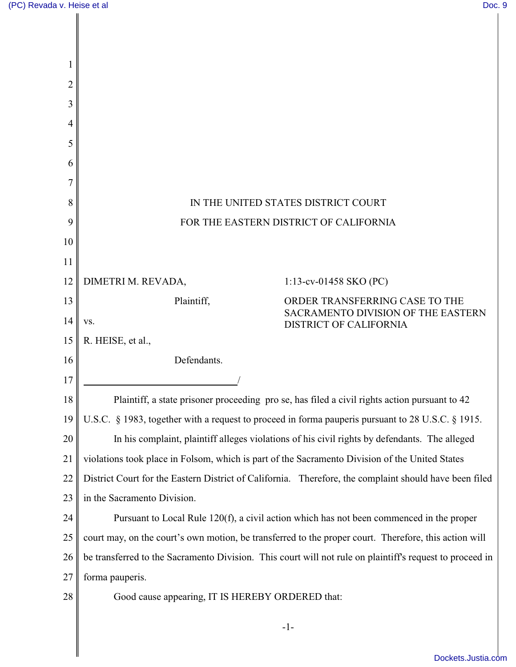| 2  |                                                                                                          |  |
|----|----------------------------------------------------------------------------------------------------------|--|
| 3  |                                                                                                          |  |
| 4  |                                                                                                          |  |
| 5  |                                                                                                          |  |
| 6  |                                                                                                          |  |
|    |                                                                                                          |  |
| 8  | IN THE UNITED STATES DISTRICT COURT                                                                      |  |
| 9  | FOR THE EASTERN DISTRICT OF CALIFORNIA                                                                   |  |
| 10 |                                                                                                          |  |
| 11 |                                                                                                          |  |
| 12 | DIMETRI M. REVADA,<br>1:13-cv-01458 SKO (PC)                                                             |  |
| 13 | Plaintiff,<br>ORDER TRANSFERRING CASE TO THE<br>SACRAMENTO DIVISION OF THE EASTERN                       |  |
| 14 | VS.<br>DISTRICT OF CALIFORNIA                                                                            |  |
| 15 | R. HEISE, et al.,                                                                                        |  |
| 16 | Defendants.                                                                                              |  |
| 17 |                                                                                                          |  |
| 18 | Plaintiff, a state prisoner proceeding pro se, has filed a civil rights action pursuant to 42            |  |
| 19 | U.S.C. § 1983, together with a request to proceed in forma pauperis pursuant to 28 U.S.C. § 1915.        |  |
| 20 | In his complaint, plaintiff alleges violations of his civil rights by defendants. The alleged            |  |
| 21 | violations took place in Folsom, which is part of the Sacramento Division of the United States           |  |
| 22 | District Court for the Eastern District of California. Therefore, the complaint should have been filed   |  |
| 23 | in the Sacramento Division.                                                                              |  |
| 24 | Pursuant to Local Rule 120(f), a civil action which has not been commenced in the proper                 |  |
| 25 | court may, on the court's own motion, be transferred to the proper court. Therefore, this action will    |  |
| 26 | be transferred to the Sacramento Division. This court will not rule on plaintiff's request to proceed in |  |
| 27 | forma pauperis.                                                                                          |  |
| 28 | Good cause appearing, IT IS HEREBY ORDERED that:                                                         |  |
|    | $-1-$                                                                                                    |  |